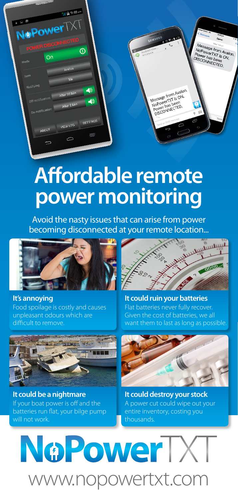

## **Affordable remote power monitoring**

Avoid the nasty issues that can arise from power becoming disconnected at your remote location...



**It's annoying** Food spoilage is costly and causes unpleasant odours which are difficult to remove.



**It could ruin your batteries** Flat batteries never fully recover. Given the cost of batteries, we all want them to last as long as possible.



**It could be a nightmare** If your boat power is off and the batteries run flat, your bilge pump will not work.



**It could destroy your stock** A power cut could wipe out your entire inventory, costing you thousands.

## NoPowerTXT www.nopowertxt.com